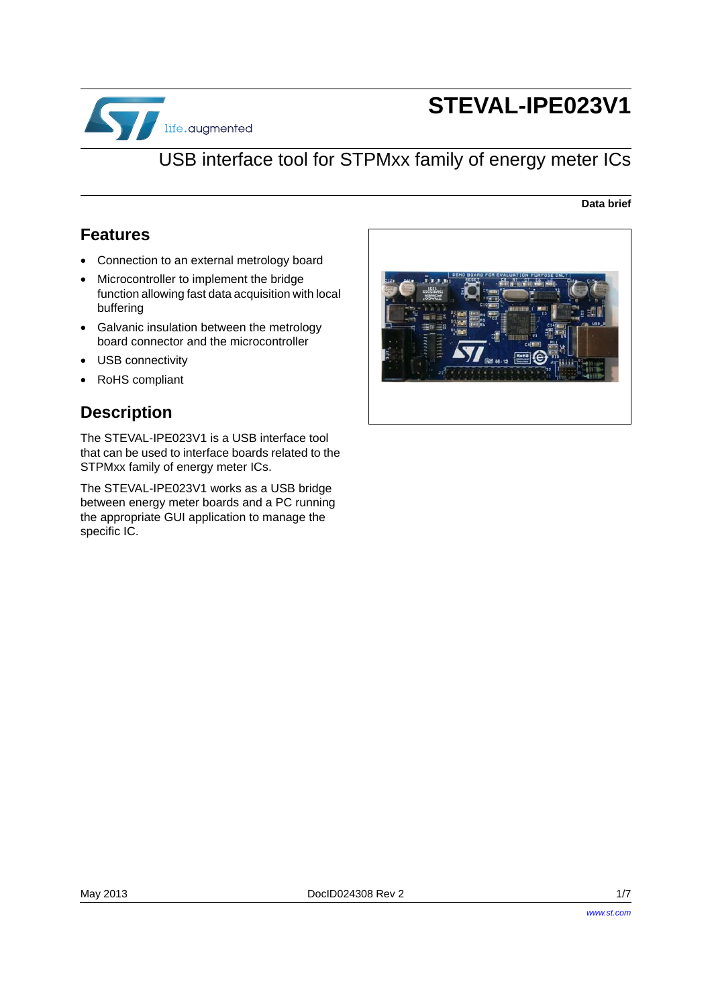

# **STEVAL-IPE023V1**

## USB interface tool for STPMxx family of energy meter ICs

#### **Data brief**

### **Features**

- Connection to an external metrology board
- Microcontroller to implement the bridge function allowing fast data acquisition with local buffering
- Galvanic insulation between the metrology board connector and the microcontroller
- USB connectivity
- RoHS compliant

### **Description**

The STEVAL-IPE023V1 is a USB interface tool that can be used to interface boards related to the STPMxx family of energy meter ICs.

The STEVAL-IPE023V1 works as a USB bridge between energy meter boards and a PC running the appropriate GUI application to manage the specific IC.

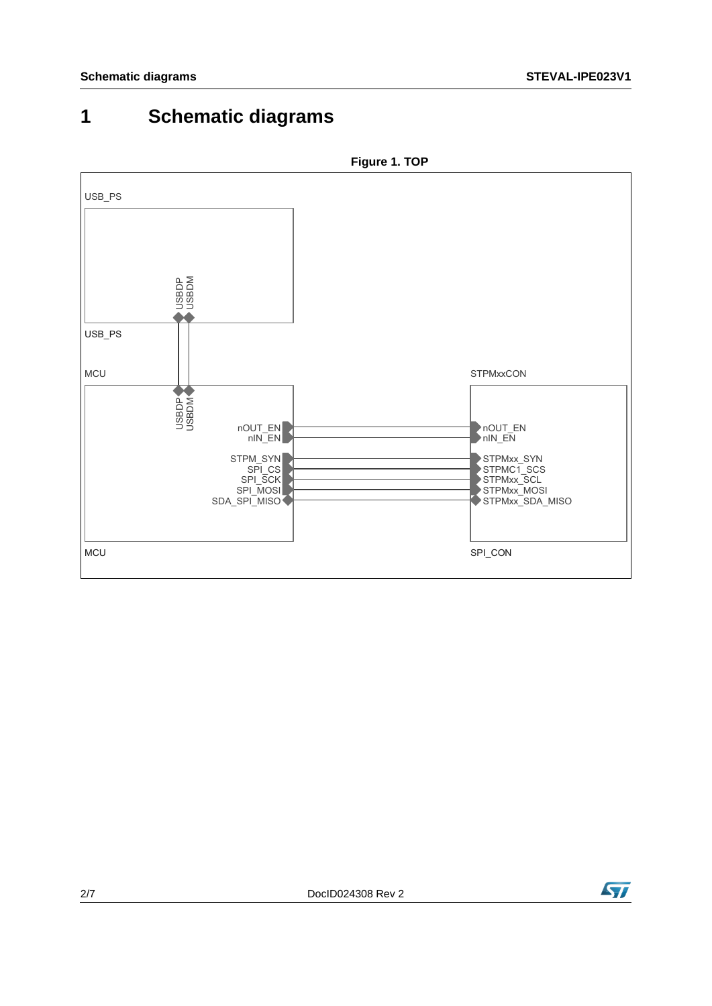## **1 Schematic diagrams**



**Figure 1. TOP**

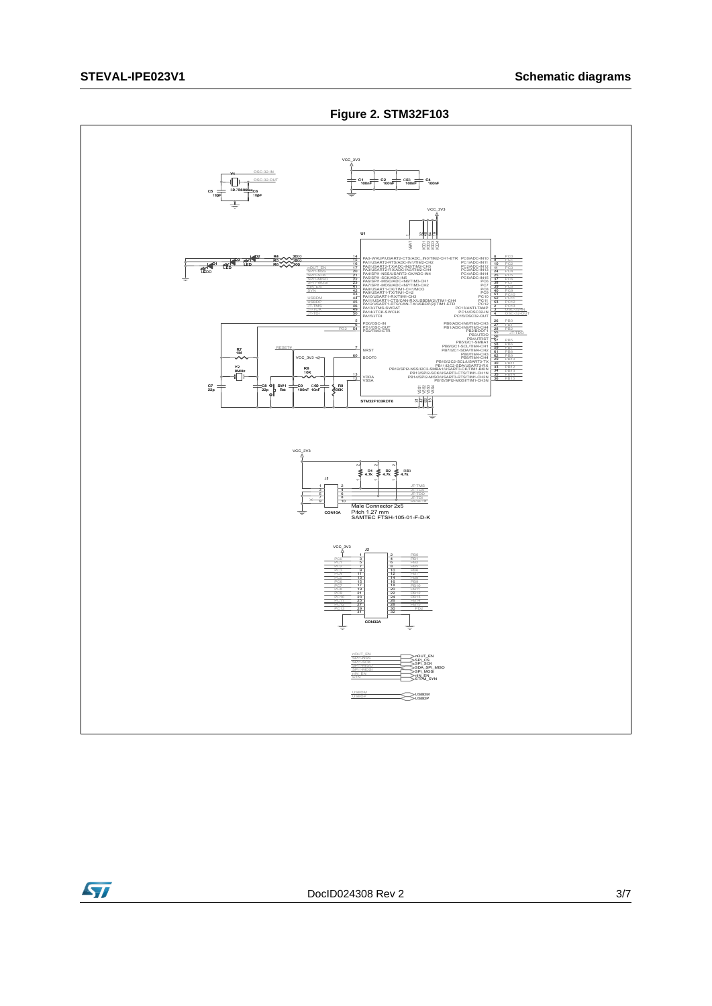



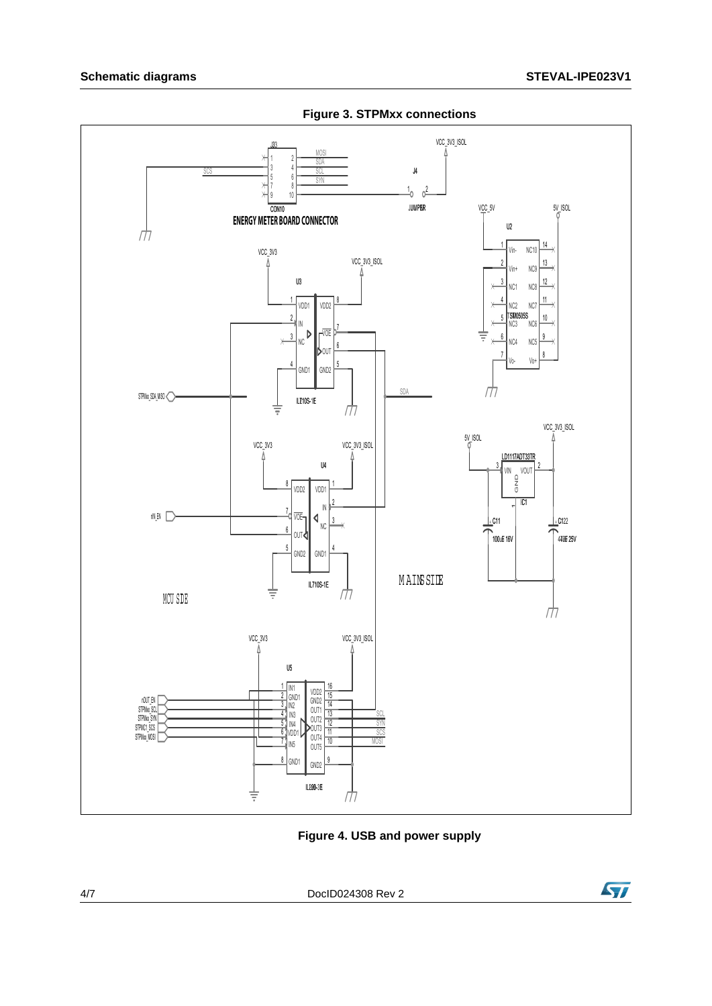### **Schematic diagrams**



**Figure 3. STPMxx connections** 

Figure 4. USB and power supply

DoclD024308 Rev 2

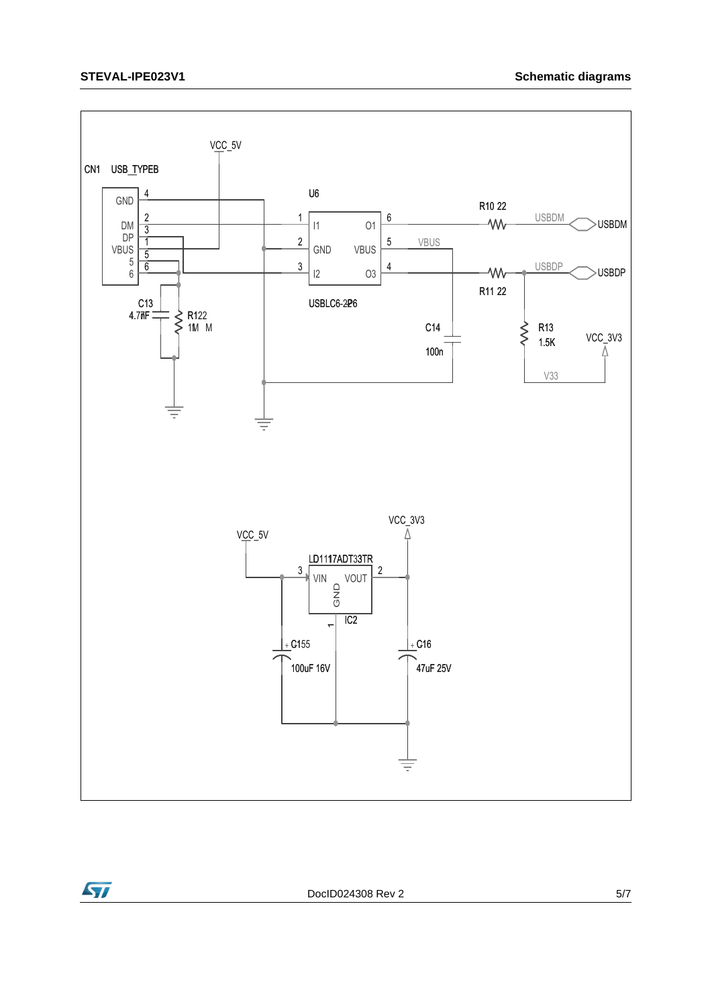



DoclD024308 Rev 2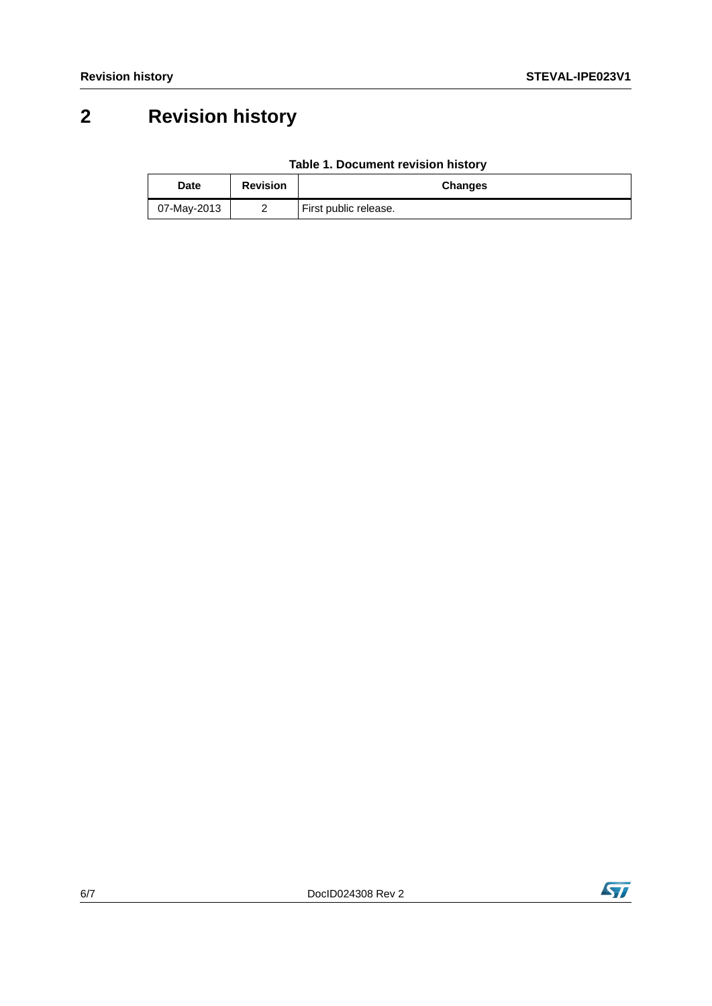## **2 Revision history**

| Table 1. Document revision history |
|------------------------------------|
|------------------------------------|

| Date        | <b>Revision</b> | <b>Changes</b>        |
|-------------|-----------------|-----------------------|
| 07-May-2013 | -               | First public release. |